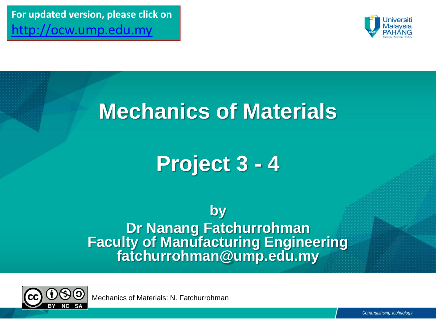**For updated version, please click on**  [http://ocw.ump.edu.my](http://ocw.ump.edu.my/) 



## **Mechanics of Materials**

# **Project 3 - 4**

**by Dr Nanang Fatchurrohman Faculty of Manufacturing Engineering fatchurrohman@ump.edu.my**

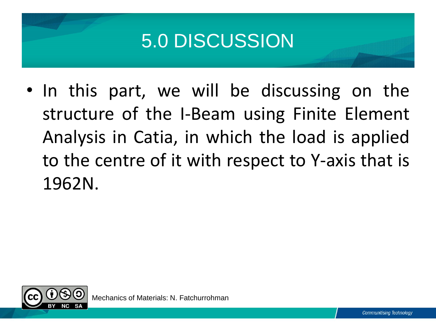## 5.0 DISCUSSION

• In this part, we will be discussing on the structure of the I-Beam using Finite Element Analysis in Catia, in which the load is applied to the centre of it with respect to Y-axis that is 1962N.

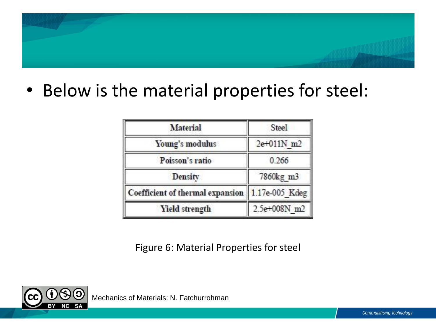### • Below is the material properties for steel:

| Material                         | Steel          |  |  |
|----------------------------------|----------------|--|--|
| Young's modulus                  | 2e+011N m2     |  |  |
| Poisson's ratio                  | 0.266          |  |  |
| Density                          | 7860kg m3      |  |  |
| Coefficient of thermal expansion | 1.17e-005_Kdeg |  |  |
| <b>Yield strength</b>            | 2.5e+008N m2   |  |  |

Figure 6: Material Properties for steel

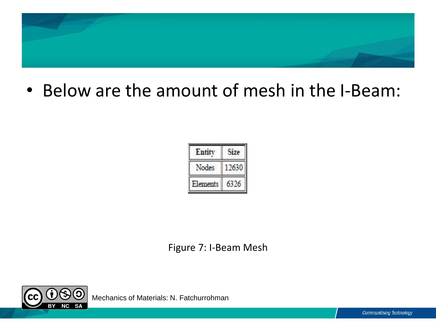

• Below are the amount of mesh in the I-Beam:

| Entity   | ize |
|----------|-----|
| odes     |     |
| Elements |     |

Figure 7: I-Beam Mesh

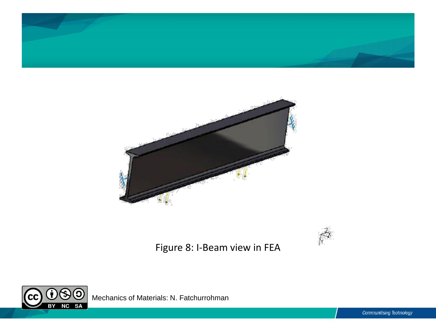





Figure 8: I-Beam view in FEA

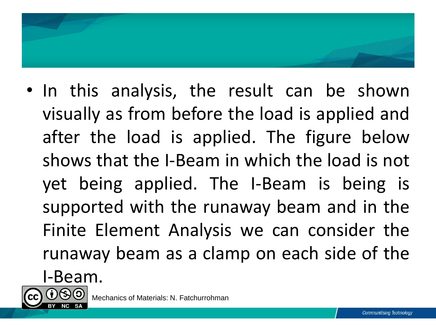

- In this analysis, the result can be shown visually as from before the load is applied and after the load is applied. The figure below shows that the I-Beam in which the load is not yet being applied. The I-Beam is being is supported with the runaway beam and in the Finite Element Analysis we can consider the runaway beam as a clamp on each side of the
	- I-Beam.

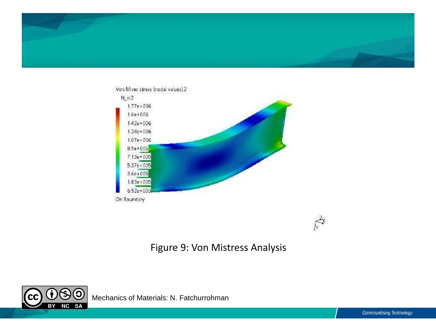



 $\vec{\mathcal{F}}$ 

### Figure 9: Von Mistress Analysis

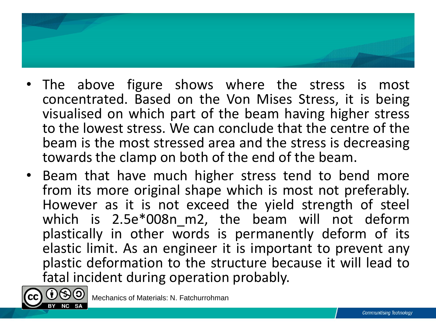- The above figure shows where the stress is most concentrated. Based on the Von Mises Stress, it is being visualised on which part of the beam having higher stress to the lowest stress. We can conclude that the centre of the beam is the most stressed area and the stress is decreasing towards the clamp on both of the end of the beam.
- Beam that have much higher stress tend to bend more from its more original shape which is most not preferably. However as it is not exceed the yield strength of steel which is 2.5e\*008n\_m2, the beam will not deform plastically in other words is permanently deform of its elastic limit. As an engineer it is important to prevent any plastic deformation to the structure because it will lead to fatal incident during operation probably.

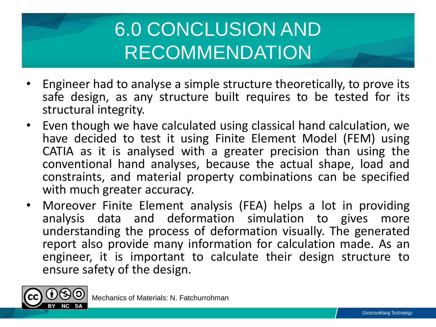# 6.0 CONCLUSION AND RECOMMENDATION

- Engineer had to analyse a simple structure theoretically, to prove its safe design, as any structure built requires to be tested for its structural integrity.
- Even though we have calculated using classical hand calculation, we have decided to test it using Finite Element Model (FEM) using CATIA as it is analysed with a greater precision than using the conventional hand analyses, because the actual shape, load and constraints, and material property combinations can be specified with much greater accuracy.
- Moreover Finite Element analysis (FEA) helps a lot in providing analysis data and deformation simulation to gives more understanding the process of deformation visually. The generated report also provide many information for calculation made. As an engineer, it is important to calculate their design structure to ensure safety of the design.

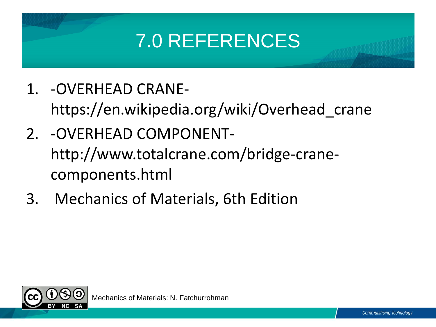# 7.0 REFERENCES

- 1. -OVERHEAD CRANEhttps://en.wikipedia.org/wiki/Overhead\_crane
- 2. -OVERHEAD COMPONENThttp://www.totalcrane.com/bridge-cranecomponents.html
- 3. Mechanics of Materials, 6th Edition

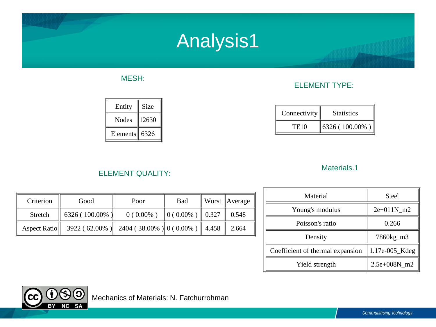### Analysis1

#### MESH:

| Entity   | Size  |
|----------|-------|
| Nodes    | 12630 |
| Elements | 6326  |

#### ELEMENT TYPE:

| Connectivity     | <b>Statistics</b> |
|------------------|-------------------|
| TE <sub>10</sub> | 6326 (100.00%)    |

#### Materials.1

### Criterion Good | Poor | Bad Worst Average Stretch 6326 ( 100.00% ) 0 ( 0.00% ) 0 ( 0.00% ) 0.327 0.548 Aspect Ratio 3922 ( 62.00% ) 2404 ( 38.00% ) 0 ( 0.00% ) 4.458 2.664

ELEMENT QUALITY:

| Material                         | Steel          |
|----------------------------------|----------------|
| Young's modulus                  | $2e+011N$ m2   |
| Poisson's ratio                  | 0.266          |
| Density                          | 7860kg_m3      |
| Coefficient of thermal expansion | 1.17e-005_Kdeg |
| Yield strength                   | 2.5e+008N m2   |

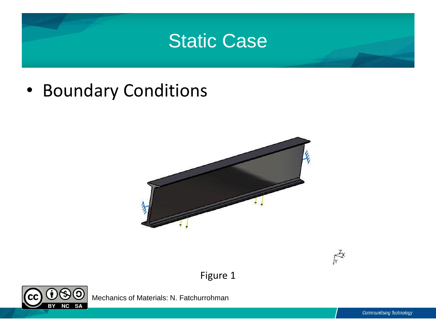### Static Case

• Boundary Conditions

**CC** 





Figure 1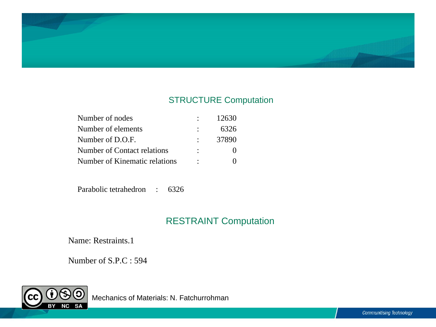

#### STRUCTURE Computation

| Number of nodes               | 12630 |
|-------------------------------|-------|
| Number of elements            | 6326  |
| Number of D.O.F.              | 37890 |
| Number of Contact relations   |       |
| Number of Kinematic relations |       |

Parabolic tetrahedron : 6326

### RESTRAINT Computation

Name: Restraints.1

Number of S.P.C : 594

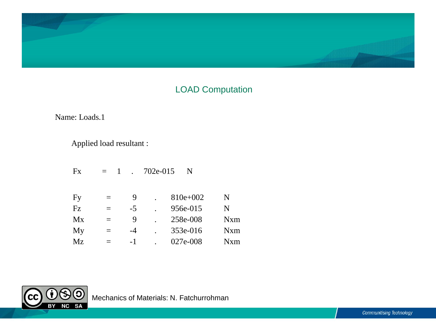

### LOAD Computation

Name: Loads.1

Applied load resultant :

| Fx             | $=$ 1 |      | 702e-015 | N        |             |
|----------------|-------|------|----------|----------|-------------|
|                |       |      |          |          |             |
| $\mathbf{F}$ y | $=$   | 9    |          | 810e+002 | N           |
| Fz             | $=$   | $-5$ |          | 956e-015 | N           |
| Mx             | $=$   | 9    |          | 258e-008 | <b>N</b> xm |
| My             | $=$   | $-4$ |          | 353e-016 | Nxm         |
| Mz             | Ξ     | $-1$ |          | 027e-008 | Nxm         |

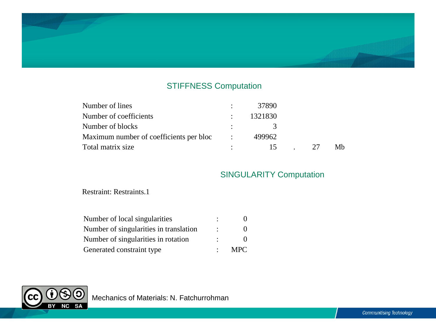### STIFFNESS Computation

| Number of lines                         | 37890           |    |    |
|-----------------------------------------|-----------------|----|----|
| Number of coefficients                  | 1321830         |    |    |
| Number of blocks                        | - 3 -           |    |    |
| Maximum number of coefficients per bloc | 499962          |    |    |
| Total matrix size                       | $\overline{15}$ | 27 | Mb |

#### SINGULARITY Computation

Restraint: Restraints.1

Ô

 $\overline{BY}$ 

**NC** 

**SA** 

 $({\sf cc})$ 

| Number of local singularities          |      |
|----------------------------------------|------|
| Number of singularities in translation |      |
| Number of singularities in rotation    |      |
| Generated constraint type              | MPC. |

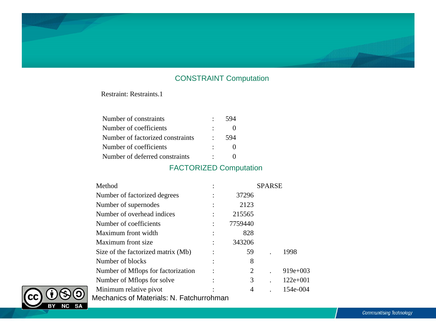#### CONSTRAINT Computation

Restraint: Restraints.1

| Number of constraints            | $\bullet$ . | 594 |  |
|----------------------------------|-------------|-----|--|
| Number of coefficients           |             |     |  |
| Number of factorized constraints |             | 594 |  |
| Number of coefficients           |             |     |  |
| Number of deferred constraints   | $\sim$      |     |  |

#### FACTORIZED Computation

| Method                                   |         | <b>SPARSE</b> |            |
|------------------------------------------|---------|---------------|------------|
| Number of factorized degrees             | 37296   |               |            |
| Number of supernodes                     | 2123    |               |            |
| Number of overhead indices               | 215565  |               |            |
| Number of coefficients                   | 7759440 |               |            |
| Maximum front width                      | 828     |               |            |
| Maximum front size                       | 343206  |               |            |
| Size of the factorized matrix (Mb)       | 59      |               | 1998       |
| Number of blocks                         | 8       |               |            |
| Number of Mflops for factorization       | 2       |               | $919e+003$ |
| Number of Mflops for solve               | 3       |               | $122e+001$ |
| Minimum relative pivot                   | 4       |               | 154e-004   |
| Mechanics of Materials: N. Fatchurrohman |         |               |            |

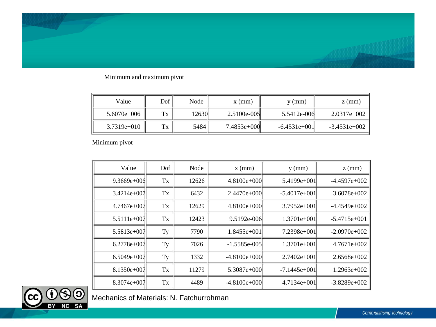#### Minimum and maximum pivot

| Value         | Dof | Node  | $x \, (mm)$   | $y$ (mm)       | $z$ (mm)       |
|---------------|-----|-------|---------------|----------------|----------------|
| $5.6070e+006$ | Tx  | 12630 | $2.5100e-005$ | 5.5412e-006    | $2.0317e+002$  |
| $3.7319e+010$ | Tx  | 5484  | $7.4853e+000$ | $-6.4531e+001$ | $-3.4531e+002$ |

Minimum pivot

| Value         | Dof | Node  | $x$ (mm)       | $y$ (mm)       | $z$ (mm)       |
|---------------|-----|-------|----------------|----------------|----------------|
| $9.3669e+006$ | Tx  | 12626 | $4.8100e+000$  | 5.4199e+001    | $-4.4597e+002$ |
| $3.4214e+007$ | Tx  | 6432  | $2.4470e+000$  | $-5.4017e+001$ | $3.6078e+002$  |
| $4.7467e+007$ | Tx  | 12629 | $4.8100e+000$  | $3.7952e+001$  | $-4.4549e+002$ |
| 5.5111e+007   | Tx  | 12423 | 9.5192e-006    | $1.3701e+001$  | $-5.4715e+001$ |
| 5.5813e+007   | Ty  | 7790  | $1.8455e+001$  | 7.2398e+001    | $-2.0970e+002$ |
| $6.2778e+007$ | Ty  | 7026  | -1.5585e-005   | $1.3701e+001$  | $4.7671e+002$  |
| $6.5049e+007$ | Ty  | 1332  | $-4.8100e+000$ | $2.7402e+001$  | $2.6568e+002$  |
| $8.1350e+007$ | Tx  | 11279 | 5.3087e+000    | $-7.1445e+001$ | $1.2963e+002$  |
| $8.3074e+007$ | Tx  | 4489  | $-4.8100e+000$ | $4.7134e+001$  | $-3.8289e+002$ |

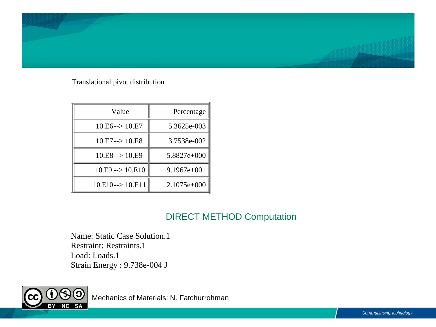

Translational pivot distribution

| Value                      | Percentage  |  |
|----------------------------|-------------|--|
| $10.E6 \rightarrow 10.E7$  | 5.3625e-003 |  |
| $10.E7 \rightarrow 10.E8$  | 3.7538e-002 |  |
| $10.E8 \rightarrow 10.E9$  | 5.8827e+000 |  |
| $10.E9 \rightarrow 10.E10$ | 9.1967e+001 |  |
| $10.E10\rightarrow 10.E11$ | 2.1075e+000 |  |

### DIRECT METHOD Computation

Name: Static Case Solution.1 Restraint: Restraints.1 Load: Loads.1 Strain Energy : 9.738e-004 J

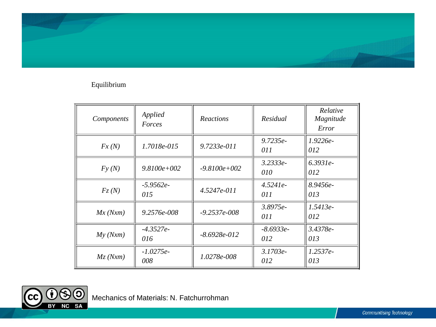#### Equilibrium

| Components | Applied<br>Forces  | Reactions        | Residual           | Relative<br>Magnitude<br>Error |
|------------|--------------------|------------------|--------------------|--------------------------------|
| Fx(N)      | 1.7018e-015        | 9.7233e-011      | $9.7235e-$<br>011  | $1.9226e-$<br>012              |
| Fy(N)      | $9.8100e + 002$    | $-9.8100e + 002$ | $3.2333e-$<br>010  | $6.3931e-$<br>012              |
| Fz(N)      | $-5.9562e-$<br>015 | $4.5247e-011$    | $4.5241e-$<br>011  | 8.9456e-<br>013                |
| Mx(Nxm)    | $9.2576e - 008$    | $-9.2537e - 008$ | $3.8975e-$<br>011  | $1.5413e-$<br>012              |
| My(Nxm)    | $-4.3527e-$<br>016 | $-8.6928e - 012$ | $-8.6933e-$<br>012 | 3.4378e-<br>013                |
| Mz(Nxm)    | $-1.0275e-$<br>008 | 1.0278e-008      | $3.1703e-$<br>012  | $1.2537e-$<br>013              |

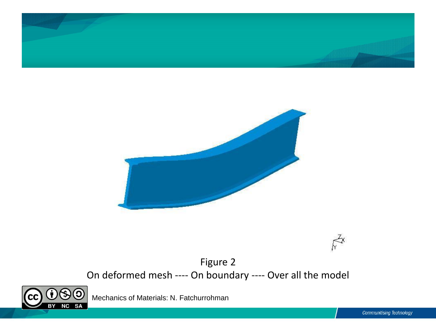



 $\kappa^2$ 

Figure 2 On deformed mesh ---- On boundary ---- Over all the model

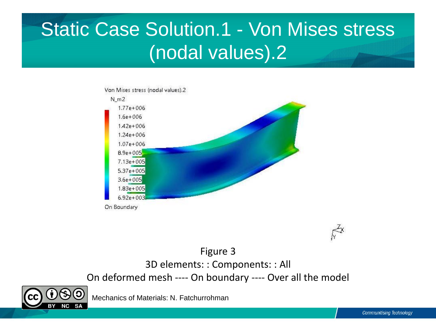## Static Case Solution.1 - Von Mises stress (nodal values).2



 $\vec{k}^x$ 

Figure 3 3D elements: : Components: : All On deformed mesh ---- On boundary ---- Over all the model